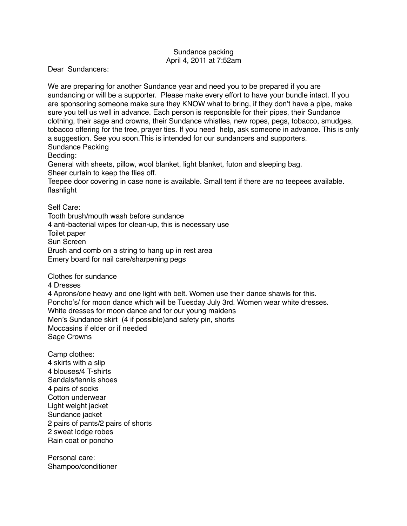## Sundance packing April 4, 2011 at 7:52am

Dear Sundancers:

We are preparing for another Sundance year and need you to be prepared if you are sundancing or will be a supporter. Please make every effort to have your bundle intact. If you are sponsoring someone make sure they KNOW what to bring, if they don't have a pipe, make sure you tell us well in advance. Each person is responsible for their pipes, their Sundance clothing, their sage and crowns, their Sundance whistles, new ropes, pegs, tobacco, smudges, tobacco offering for the tree, prayer ties. If you need help, ask someone in advance. This is only a suggestion. See you soon.This is intended for our sundancers and supporters. Sundance Packing

Bedding:

General with sheets, pillow, wool blanket, light blanket, futon and sleeping bag. Sheer curtain to keep the flies off.

Teepee door covering in case none is available. Small tent if there are no teepees available.

flashlight

Self Care:

Tooth brush/mouth wash before sundance 4 anti-bacterial wipes for clean-up, this is necessary use Toilet paper Sun Screen Brush and comb on a string to hang up in rest area Emery board for nail care/sharpening pegs

Clothes for sundance

4 Dresses

4 Aprons/one heavy and one light with belt. Women use their dance shawls for this. Poncho's/ for moon dance which will be Tuesday July 3rd. Women wear white dresses. White dresses for moon dance and for our young maidens Men's Sundance skirt (4 if possible)and safety pin, shorts Moccasins if elder or if needed Sage Crowns

Camp clothes: 4 skirts with a slip 4 blouses/4 T-shirts Sandals/tennis shoes 4 pairs of socks Cotton underwear Light weight jacket Sundance jacket 2 pairs of pants/2 pairs of shorts 2 sweat lodge robes Rain coat or poncho

Personal care: Shampoo/conditioner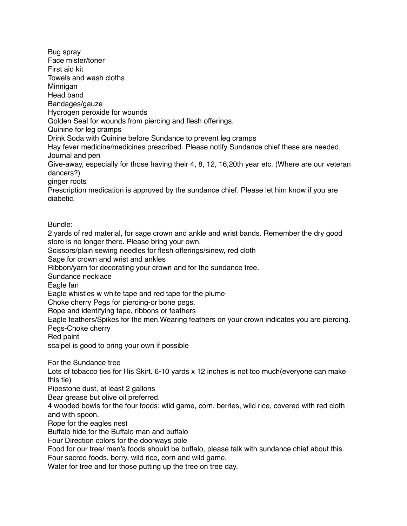Bug spray Face mister/toner First aid kit Towels and wash cloths Minnigan Head band Bandages/gauze Hydrogen peroxide for wounds Golden Seal for wounds from piercing and flesh offerings. Quinine for leg cramps Drink Soda with Quinine before Sundance to prevent leg cramps Hay fever medicine/medicines prescribed. Please notify Sundance chief these are needed. Journal and pen Give-away, especially for those having their 4, 8, 12, 16,20th year etc. (Where are our veteran dancers?) ginger roots Prescription medication is approved by the sundance chief. Please let him know if you are diabetic. Bundle: 2 yards of red material, for sage crown and ankle and wrist bands. Remember the dry good store is no longer there. Please bring your own. Scissors/plain sewing needles for flesh offerings/sinew, red cloth Sage for crown and wrist and ankles Ribbon/yarn for decorating your crown and for the sundance tree. Sundance necklace Eagle fan Eagle whistles w white tape and red tape for the plume Choke cherry Pegs for piercing-or bone pegs. Rope and identifying tape, ribbons or feathers Eagle feathers/Spikes for the men.Wearing feathers on your crown indicates you are piercing. Pegs-Choke cherry Red paint scalpel is good to bring your own if possible For the Sundance tree Lots of tobacco ties for His Skirt. 6-10 yards x 12 inches is not too much(everyone can make this tie) Pipestone dust, at least 2 gallons Bear grease but olive oil preferred. 4 wooded bowls for the four foods: wild game, corn, berries, wild rice, covered with red cloth and with spoon. Rope for the eagles nest Buffalo hide for the Buffalo man and buffalo Four Direction colors for the doorways pole Food for our tree/ men's foods should be buffalo, please talk with sundance chief about this. Four sacred foods, berry, wild rice, corn and wild game. Water for tree and for those putting up the tree on tree day.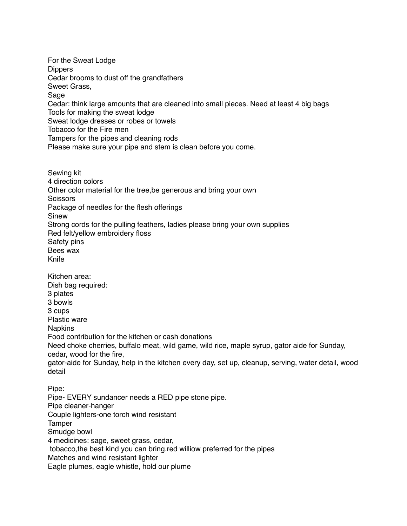For the Sweat Lodge **Dippers** Cedar brooms to dust off the grandfathers Sweet Grass, Sage Cedar: think large amounts that are cleaned into small pieces. Need at least 4 big bags Tools for making the sweat lodge Sweat lodge dresses or robes or towels Tobacco for the Fire men Tampers for the pipes and cleaning rods Please make sure your pipe and stem is clean before you come.

Sewing kit 4 direction colors Other color material for the tree,be generous and bring your own **Scissors** Package of needles for the flesh offerings Sinew Strong cords for the pulling feathers, ladies please bring your own supplies Red felt/yellow embroidery floss Safety pins Bees wax Knife Kitchen area: Dish bag required: 3 plates 3 bowls 3 cups Plastic ware **Napkins** Food contribution for the kitchen or cash donations Need choke cherries, buffalo meat, wild game, wild rice, maple syrup, gator aide for Sunday, cedar, wood for the fire, gator-aide for Sunday, help in the kitchen every day, set up, cleanup, serving, water detail, wood detail Pipe: Pipe- EVERY sundancer needs a RED pipe stone pipe.

Pipe cleaner-hanger Couple lighters-one torch wind resistant Tamper Smudge bowl 4 medicines: sage, sweet grass, cedar, tobacco,the best kind you can bring.red williow preferred for the pipes Matches and wind resistant lighter Eagle plumes, eagle whistle, hold our plume